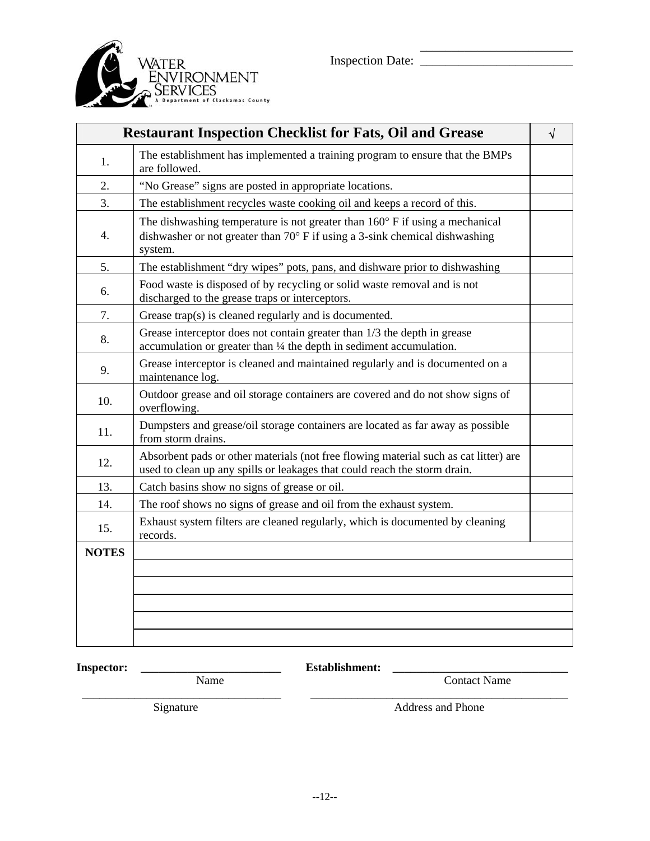

| <b>Restaurant Inspection Checklist for Fats, Oil and Grease</b> |                                                                                                                                                                                          |  |
|-----------------------------------------------------------------|------------------------------------------------------------------------------------------------------------------------------------------------------------------------------------------|--|
| 1.                                                              | The establishment has implemented a training program to ensure that the BMPs<br>are followed.                                                                                            |  |
| 2.                                                              | "No Grease" signs are posted in appropriate locations.                                                                                                                                   |  |
| 3.                                                              | The establishment recycles waste cooking oil and keeps a record of this.                                                                                                                 |  |
| 4.                                                              | The dishwashing temperature is not greater than $160^{\circ}$ F if using a mechanical<br>dishwasher or not greater than $70^{\circ}$ F if using a 3-sink chemical dishwashing<br>system. |  |
| 5.                                                              | The establishment "dry wipes" pots, pans, and dishware prior to dishwashing                                                                                                              |  |
| 6.                                                              | Food waste is disposed of by recycling or solid waste removal and is not<br>discharged to the grease traps or interceptors.                                                              |  |
| 7.                                                              | Grease trap(s) is cleaned regularly and is documented.                                                                                                                                   |  |
| 8.                                                              | Grease interceptor does not contain greater than 1/3 the depth in grease<br>accumulation or greater than 1/4 the depth in sediment accumulation.                                         |  |
| 9.                                                              | Grease interceptor is cleaned and maintained regularly and is documented on a<br>maintenance log.                                                                                        |  |
| 10.                                                             | Outdoor grease and oil storage containers are covered and do not show signs of<br>overflowing.                                                                                           |  |
| 11.                                                             | Dumpsters and grease/oil storage containers are located as far away as possible<br>from storm drains.                                                                                    |  |
| 12.                                                             | Absorbent pads or other materials (not free flowing material such as cat litter) are<br>used to clean up any spills or leakages that could reach the storm drain.                        |  |
| 13.                                                             | Catch basins show no signs of grease or oil.                                                                                                                                             |  |
| 14.                                                             | The roof shows no signs of grease and oil from the exhaust system.                                                                                                                       |  |
| 15.                                                             | Exhaust system filters are cleaned regularly, which is documented by cleaning<br>records.                                                                                                |  |
| <b>NOTES</b>                                                    |                                                                                                                                                                                          |  |
|                                                                 |                                                                                                                                                                                          |  |
|                                                                 |                                                                                                                                                                                          |  |
|                                                                 |                                                                                                                                                                                          |  |
|                                                                 |                                                                                                                                                                                          |  |
|                                                                 |                                                                                                                                                                                          |  |

**Inspector: \_\_\_\_\_\_\_\_\_\_\_\_\_\_\_\_\_\_\_\_\_\_\_\_ Establishment: \_\_\_\_\_\_\_\_\_\_\_\_\_\_\_\_\_\_\_\_\_\_\_\_\_\_\_\_\_\_** 

\_\_\_\_\_\_\_\_\_\_\_\_\_\_\_\_\_\_\_\_\_\_\_\_\_\_\_\_\_\_\_\_\_\_ \_\_\_\_\_\_\_\_\_\_\_\_\_\_\_\_\_\_\_\_\_\_\_\_\_\_\_\_\_\_\_\_\_\_\_\_\_\_\_\_\_\_\_\_

Name Contact Name

Signature Address and Phone